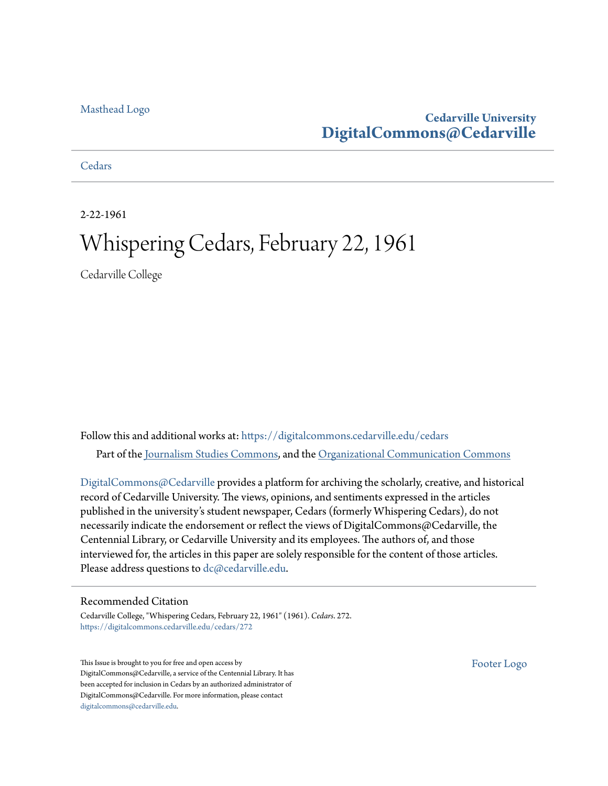#### [Masthead Logo](http://www.cedarville.edu/?utm_source=digitalcommons.cedarville.edu%2Fcedars%2F272&utm_medium=PDF&utm_campaign=PDFCoverPages)

# **Cedarville University [DigitalCommons@Cedarville](https://digitalcommons.cedarville.edu?utm_source=digitalcommons.cedarville.edu%2Fcedars%2F272&utm_medium=PDF&utm_campaign=PDFCoverPages)**

#### **[Cedars](https://digitalcommons.cedarville.edu/cedars?utm_source=digitalcommons.cedarville.edu%2Fcedars%2F272&utm_medium=PDF&utm_campaign=PDFCoverPages)**

2-22-1961

# Whispering Cedars, February 22, 1961

Cedarville College

Follow this and additional works at: [https://digitalcommons.cedarville.edu/cedars](https://digitalcommons.cedarville.edu/cedars?utm_source=digitalcommons.cedarville.edu%2Fcedars%2F272&utm_medium=PDF&utm_campaign=PDFCoverPages) Part of the [Journalism Studies Commons](http://network.bepress.com/hgg/discipline/333?utm_source=digitalcommons.cedarville.edu%2Fcedars%2F272&utm_medium=PDF&utm_campaign=PDFCoverPages), and the [Organizational Communication Commons](http://network.bepress.com/hgg/discipline/335?utm_source=digitalcommons.cedarville.edu%2Fcedars%2F272&utm_medium=PDF&utm_campaign=PDFCoverPages)

[DigitalCommons@Cedarville](http://digitalcommons.cedarville.edu/) provides a platform for archiving the scholarly, creative, and historical record of Cedarville University. The views, opinions, and sentiments expressed in the articles published in the university's student newspaper, Cedars (formerly Whispering Cedars), do not necessarily indicate the endorsement or reflect the views of DigitalCommons@Cedarville, the Centennial Library, or Cedarville University and its employees. The authors of, and those interviewed for, the articles in this paper are solely responsible for the content of those articles. Please address questions to [dc@cedarville.edu.](mailto:dc@cedarville.edu)

#### Recommended Citation

Cedarville College, "Whispering Cedars, February 22, 1961" (1961). *Cedars*. 272. [https://digitalcommons.cedarville.edu/cedars/272](https://digitalcommons.cedarville.edu/cedars/272?utm_source=digitalcommons.cedarville.edu%2Fcedars%2F272&utm_medium=PDF&utm_campaign=PDFCoverPages)

This Issue is brought to you for free and open access by DigitalCommons@Cedarville, a service of the Centennial Library. It has been accepted for inclusion in Cedars by an authorized administrator of DigitalCommons@Cedarville. For more information, please contact [digitalcommons@cedarville.edu](mailto:digitalcommons@cedarville.edu).

[Footer Logo](http://www.cedarville.edu/Academics/Library.aspx?utm_source=digitalcommons.cedarville.edu%2Fcedars%2F272&utm_medium=PDF&utm_campaign=PDFCoverPages)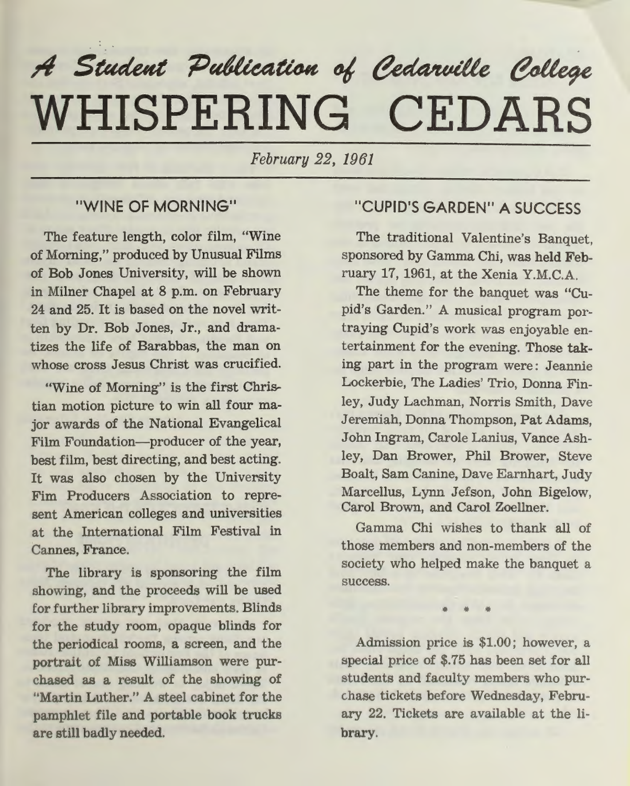# $A$  Student Publication of Cedarville College **WHISPERING CEDARS**

*February 22, 1961* 

## "WINE OF MORNING"

The feature length, color film, "Wine of Morning," produced by Unusual Films of Bob Jones University, will be shown in Milner Chapel at 8 p.m. on February 24 and 25. It is based on the novel written by Dr. Bob Jones, Jr., and dramatizes the life of Barabbas, the man on whose cross Jesus Christ was crucified.

"Wine of Morning" is the first Christian motion picture to win all four major awards of the National Evangelical Film Foundation-producer of the year, best film, best directing, and best acting. It was also chosen by the University Fim Producers Association to represent American colleges and universities at the International Film Festival in Cannes, France.

The library is sponsoring the film showing, and the proceeds will be used for further library improvements. Blinds for the study room, opaque blinds for the periodical rooms, a screen, and the portrait of Miss Williamson were purchased as a result of the showing of "Martin Luther." A steel cabinet for the pamphlet file and portable book trucks are still badly needed.

# "CUPID'S GARDEN" A SUCCESS

The traditional Valentine's Banquet, sponsored by Gamma Chi, was held February 17, 1961, at the Xenia Y.M.C.A.

The theme for the banquet was "Cupid's Garden." A musical program portraying Cupid's work was enjoyable entertainment for the evening. Those taking part in the program were: Jeannie Lockerbie, The Ladies' Trio, Donna Finley, Judy Lachman, Norris Smith, Dave Jeremiah, Donna Thompson, Pat Adams, John Ingram, Carole Lanius, Vance Ashley, Dan Brower, Phil Brower, Steve Boalt, Sam Canine, Dave Earnhart, Judy Marcellus, Lynn Jefson, John Bigelow, Carol Brown, and Carol Zoellner.

Gamma Chi wishes to thank all of those members and non-members of the society who helped make the banquet <sup>a</sup> success.

• • •

Admission price is \$1.00; however, a special price of \$.75 has been set for all students and faculty members who purchase tickets before Wednesday, February 22. Tickets are available at the library.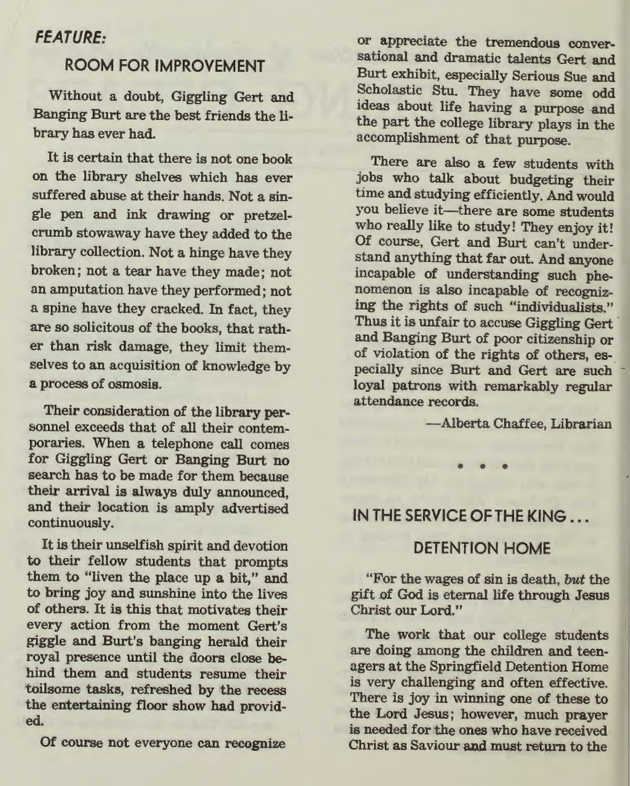#### FEATURE:

#### ROOM FOR IMPROVEMENT

Without a doubt, Giggling Gert and Banging Burt are the best friends the library has ever had.

It is certain that there is not one book on the library shelves which has ever suffered abuse at their hands. Not a sin<sup>g</sup>le pen and ink drawing or pretzelcrumb stowaway have they added to the library collection. Not a hinge have they broken; not a tear have they made; not an amputation have they performed; not a spine have they cracked. In fact, they are so solicitous of the books, that rather than risk damage, they limit themselves to an acquisition of knowledge by a process of osmosis.

Their consideration of the library personnel exceeds that of all their contemporaries. When a telephone call comes for Giggling Gert or Banging Burt no search has to be made for them because their arrival is always duly announced, and their location is amply advertised continuously.

It is their unselfish spirit and devotion to their fellow students that prompts them to "liven the place up a bit," and to bring joy and sunshine into the lives of others. It is this that motivates their every action from the moment Gert's <sup>g</sup>iggle and Burt's banging herald their royal presence until the doors close behind them and students resume their toilsome tasks, refreshed by the recess the entertaining floor show had provided.

Of course not everyone can recognize

or appreciate the tremendous conversational and dramatic talents Gert and Burt exhibit, especially Serious Sue and Scholastic Stu. They have some odd ideas about life having a purpose and the part the college library plays in the accomplishment of that purpose.

There are also a few students with jobs who talk about budgeting their time and studying efficiently. And would you believe it-there are some students who really like to study! They enjoy it! Of course, Gert and Burt can't understand anything that far out. And anyone incapable of understanding such phenomenon is also incapable of recognizing the rights of such "individualists." Thus it is unfair to accuse Giggling Gert and Banging Burt of poor citizenship or of violation of the rights of others, especially since Burt and Gert are such loyal patrons with remarkably regular attendance records.

-Alberta Chaffee, Librarian

IN THE SERVICE OF THE KING

## DETENTION HOME

"For the wages of sin is death, but the <sup>g</sup>ift .of God is eternal life through Jesus Christ our Lord."

The work that our college students are doing among the children and teenagers at the Springfield Detention Home is very challenging and often effective. There is joy in winning one of these to the Lord Jesus; however, much prayer is needed for the ones who have received Christ as Saviour and must return to the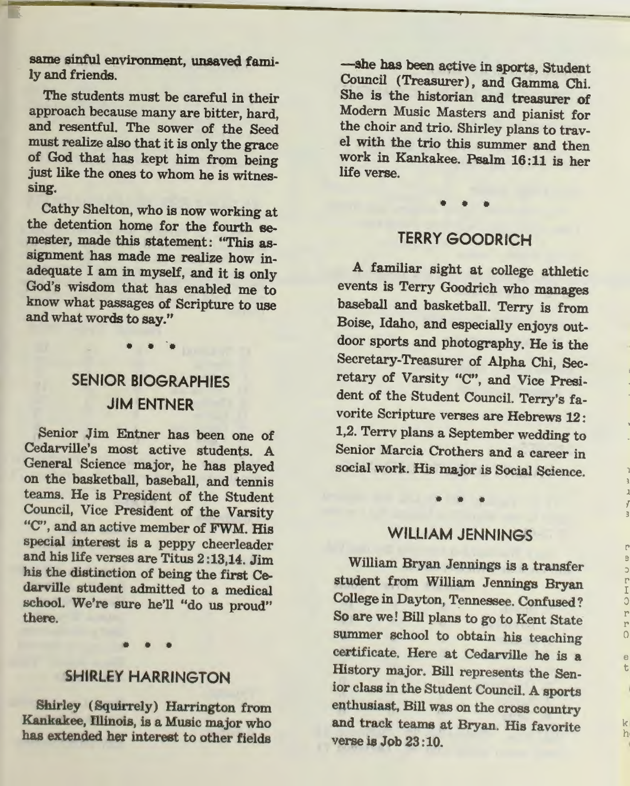same sinful environment, unsaved fami· ly and friends.

The students must be careful in their approach because many are bitter, hard, and resentful. The sower of the Seed must realize also that it is only the grace of God that has kept him from being just like the ones to whom he is witnessing.

Cathy Shelton, who is now working at the detention home for the fourth semester, made this statement: "This assignment has made me realize how inadequate I am in myself, and it is only God's wisdom that has enabled me to know what passages of Scripture to use and what words to say."

> SENIOR BIOGRAPHIES JIM ENTNER

••••

Senior Jim Entner has been one of Cedarville's most active students. A General Science major, he has played on the basketball, baseball, and tennis teams. He is President of the Student Council, Vice President of the Varsity "C", and an active member of FWM. His special interest is a peppy cheerleader and his life verses are Titus 2 :13,14. Jim his the distinction of being the first Cedarville student admitted to a medical school. We're sure he'll "do us proud" there.

# SHIRLEY HARRINGTON

• • •

Shirley ( Squirrely) Harrington from Kankakee, lliinois, is a Music major who has extended her interest to other fields

-she has been active in sports, Student Council (Treasurer), and Gamma Chi. She is the historian and treasurer of Modern Music Masters and pianist for the choir and trio. Shirley plans to travel with the trio this summer and then work in Kankakee. Psalm 16:11 is her life verse.

# TERRY GOODRICH

• • •

<sup>A</sup>familiar sight at college athletic events is Terry Goodrich who manages baseball and basketball. Terry is from Boise, Idaho, and especially enjoys outdoor sports and photography. He is the Secretary-Treasurer of Alpha Chi, Secretary of Varsity "C", and Vice President of the Student Council. Terry's favorite Scripture verses are Hebrews 12: 1,2. Terrv plans a September wedding to Senior Marcia Crothers and a career in social work. His major is Social Science.

# WILLIAM JENNINGS

• • •

*{* 

r

:) r I :) r r 0 e

k h1

t

William Bryan Jennings is a transfer <sup>s</sup>tudent from William Jennings Bryan College in Dayton, Tennessee. Confused? So are we! Bill plans to go to Kent State summer school to obtain his teaching certificate. Here at Cedarville he is <sup>a</sup> History major. Bill represents the Senior class in the Student Council. A sports enthusiast, Bill was on the cross countr<sup>y</sup> and track teams at Bryan. His favorite verse is Job 23 :10.